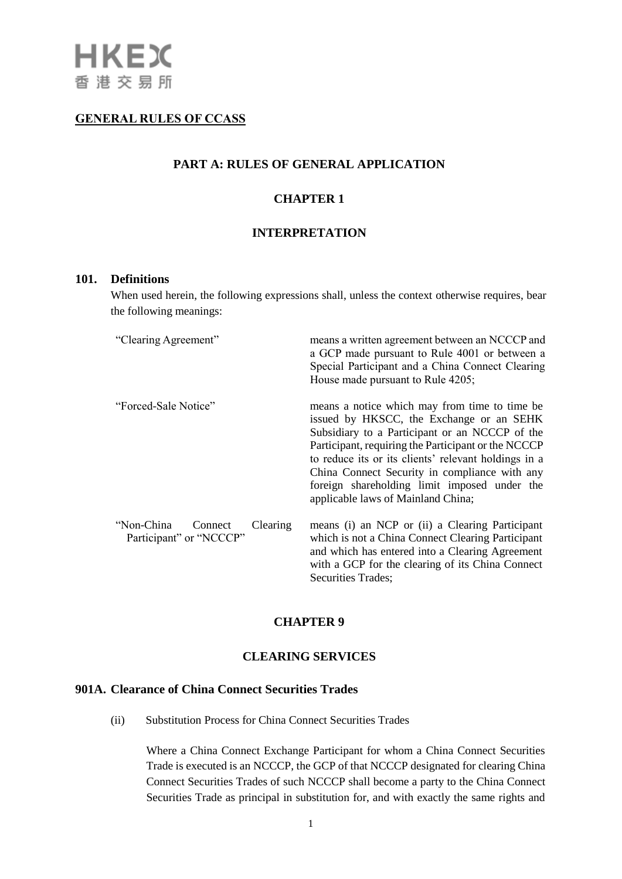# **GENERAL RULES OF CCASS**

# **PART A: RULES OF GENERAL APPLICATION**

# **CHAPTER 1**

### **INTERPRETATION**

#### **101. Definitions**

When used herein, the following expressions shall, unless the context otherwise requires, bear the following meanings:

| "Clearing Agreement"                                         | means a written agreement between an NCCCP and<br>a GCP made pursuant to Rule 4001 or between a<br>Special Participant and a China Connect Clearing<br>House made pursuant to Rule 4205;                                                                                                                                                                                                           |
|--------------------------------------------------------------|----------------------------------------------------------------------------------------------------------------------------------------------------------------------------------------------------------------------------------------------------------------------------------------------------------------------------------------------------------------------------------------------------|
| "Forced-Sale Notice"                                         | means a notice which may from time to time be.<br>issued by HKSCC, the Exchange or an SEHK<br>Subsidiary to a Participant or an NCCCP of the<br>Participant, requiring the Participant or the NCCCP<br>to reduce its or its clients' relevant holdings in a<br>China Connect Security in compliance with any<br>foreign shareholding limit imposed under the<br>applicable laws of Mainland China; |
| "Non-China<br>Clearing<br>Connect<br>Participant" or "NCCCP" | means (i) an NCP or (ii) a Clearing Participant<br>which is not a China Connect Clearing Participant<br>and which has entered into a Clearing Agreement<br>with a GCP for the clearing of its China Connect<br><b>Securities Trades;</b>                                                                                                                                                           |

# **CHAPTER 9**

### **CLEARING SERVICES**

# **901A. Clearance of China Connect Securities Trades**

(ii) Substitution Process for China Connect Securities Trades

Where a China Connect Exchange Participant for whom a China Connect Securities Trade is executed is an NCCCP, the GCP of that NCCCP designated for clearing China Connect Securities Trades of such NCCCP shall become a party to the China Connect Securities Trade as principal in substitution for, and with exactly the same rights and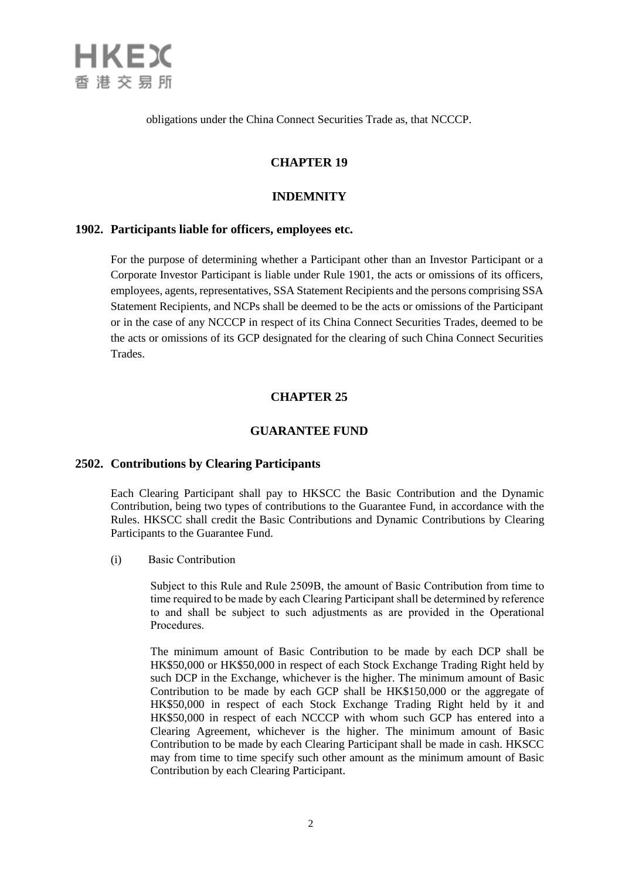

obligations under the China Connect Securities Trade as, that NCCCP.

# **CHAPTER 19**

### **INDEMNITY**

### **1902. Participants liable for officers, employees etc.**

For the purpose of determining whether a Participant other than an Investor Participant or a Corporate Investor Participant is liable under Rule 1901, the acts or omissions of its officers, employees, agents, representatives, SSA Statement Recipients and the persons comprising SSA Statement Recipients, and NCPs shall be deemed to be the acts or omissions of the Participant or in the case of any NCCCP in respect of its China Connect Securities Trades, deemed to be the acts or omissions of its GCP designated for the clearing of such China Connect Securities Trades.

### **CHAPTER 25**

### **GUARANTEE FUND**

### **2502. Contributions by Clearing Participants**

Each Clearing Participant shall pay to HKSCC the Basic Contribution and the Dynamic Contribution, being two types of contributions to the Guarantee Fund, in accordance with the Rules. HKSCC shall credit the Basic Contributions and Dynamic Contributions by Clearing Participants to the Guarantee Fund.

(i) Basic Contribution

Subject to this Rule and Rule 2509B, the amount of Basic Contribution from time to time required to be made by each Clearing Participant shall be determined by reference to and shall be subject to such adjustments as are provided in the Operational Procedures.

The minimum amount of Basic Contribution to be made by each DCP shall be HK\$50,000 or HK\$50,000 in respect of each Stock Exchange Trading Right held by such DCP in the Exchange, whichever is the higher. The minimum amount of Basic Contribution to be made by each GCP shall be HK\$150,000 or the aggregate of HK\$50,000 in respect of each Stock Exchange Trading Right held by it and HK\$50,000 in respect of each NCCCP with whom such GCP has entered into a Clearing Agreement, whichever is the higher. The minimum amount of Basic Contribution to be made by each Clearing Participant shall be made in cash. HKSCC may from time to time specify such other amount as the minimum amount of Basic Contribution by each Clearing Participant.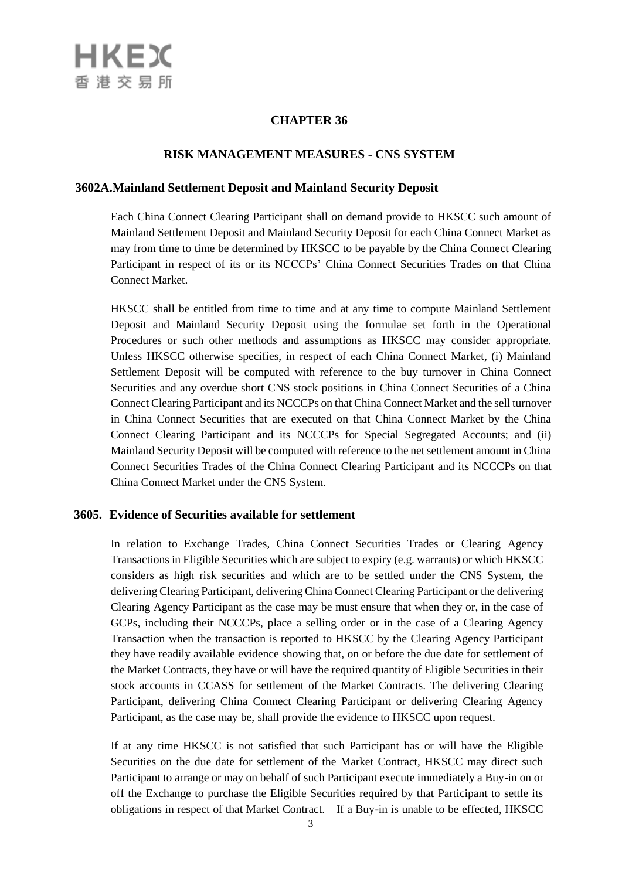# **CHAPTER 36**

### **RISK MANAGEMENT MEASURES - CNS SYSTEM**

### **3602A.Mainland Settlement Deposit and Mainland Security Deposit**

Each China Connect Clearing Participant shall on demand provide to HKSCC such amount of Mainland Settlement Deposit and Mainland Security Deposit for each China Connect Market as may from time to time be determined by HKSCC to be payable by the China Connect Clearing Participant in respect of its or its NCCCPs' China Connect Securities Trades on that China Connect Market.

HKSCC shall be entitled from time to time and at any time to compute Mainland Settlement Deposit and Mainland Security Deposit using the formulae set forth in the Operational Procedures or such other methods and assumptions as HKSCC may consider appropriate. Unless HKSCC otherwise specifies, in respect of each China Connect Market, (i) Mainland Settlement Deposit will be computed with reference to the buy turnover in China Connect Securities and any overdue short CNS stock positions in China Connect Securities of a China Connect Clearing Participant and its NCCCPs on that China Connect Market and the sell turnover in China Connect Securities that are executed on that China Connect Market by the China Connect Clearing Participant and its NCCCPs for Special Segregated Accounts; and (ii) Mainland Security Deposit will be computed with reference to the net settlement amount in China Connect Securities Trades of the China Connect Clearing Participant and its NCCCPs on that China Connect Market under the CNS System.

### **3605. Evidence of Securities available for settlement**

In relation to Exchange Trades, China Connect Securities Trades or Clearing Agency Transactions in Eligible Securities which are subject to expiry (e.g. warrants) or which HKSCC considers as high risk securities and which are to be settled under the CNS System, the delivering Clearing Participant, delivering China Connect Clearing Participant or the delivering Clearing Agency Participant as the case may be must ensure that when they or, in the case of GCPs, including their NCCCPs, place a selling order or in the case of a Clearing Agency Transaction when the transaction is reported to HKSCC by the Clearing Agency Participant they have readily available evidence showing that, on or before the due date for settlement of the Market Contracts, they have or will have the required quantity of Eligible Securities in their stock accounts in CCASS for settlement of the Market Contracts. The delivering Clearing Participant, delivering China Connect Clearing Participant or delivering Clearing Agency Participant, as the case may be, shall provide the evidence to HKSCC upon request.

If at any time HKSCC is not satisfied that such Participant has or will have the Eligible Securities on the due date for settlement of the Market Contract, HKSCC may direct such Participant to arrange or may on behalf of such Participant execute immediately a Buy-in on or off the Exchange to purchase the Eligible Securities required by that Participant to settle its obligations in respect of that Market Contract. If a Buy-in is unable to be effected, HKSCC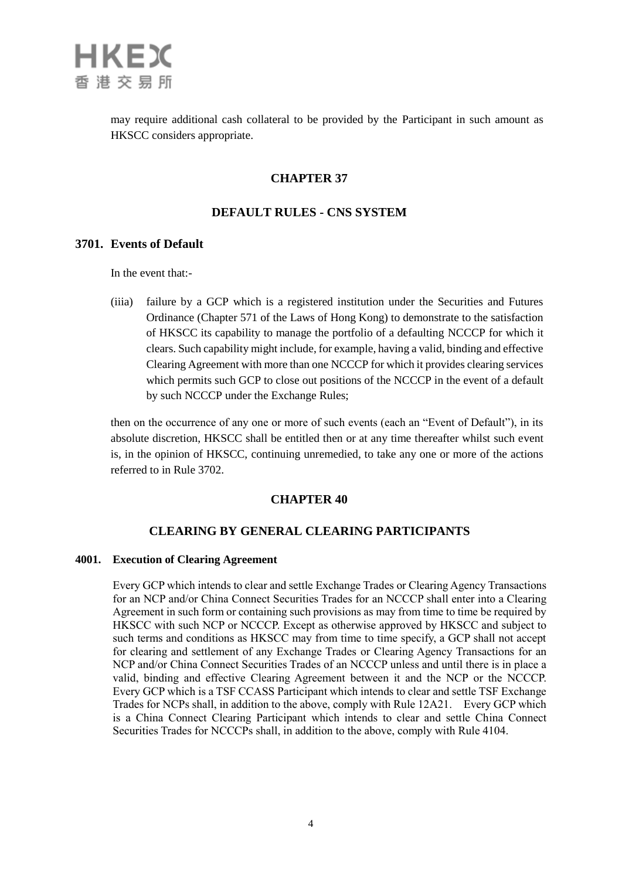

may require additional cash collateral to be provided by the Participant in such amount as HKSCC considers appropriate.

### **CHAPTER 37**

# **DEFAULT RULES - CNS SYSTEM**

### **3701. Events of Default**

In the event that:-

(iiia) failure by a GCP which is a registered institution under the Securities and Futures Ordinance (Chapter 571 of the Laws of Hong Kong) to demonstrate to the satisfaction of HKSCC its capability to manage the portfolio of a defaulting NCCCP for which it clears. Such capability might include, for example, having a valid, binding and effective Clearing Agreement with more than one NCCCP for which it provides clearing services which permits such GCP to close out positions of the NCCCP in the event of a default by such NCCCP under the Exchange Rules;

then on the occurrence of any one or more of such events (each an "Event of Default"), in its absolute discretion, HKSCC shall be entitled then or at any time thereafter whilst such event is, in the opinion of HKSCC, continuing unremedied, to take any one or more of the actions referred to in Rule 3702.

### **CHAPTER 40**

# **CLEARING BY GENERAL CLEARING PARTICIPANTS**

#### **4001. Execution of Clearing Agreement**

Every GCP which intends to clear and settle Exchange Trades or Clearing Agency Transactions for an NCP and/or China Connect Securities Trades for an NCCCP shall enter into a Clearing Agreement in such form or containing such provisions as may from time to time be required by HKSCC with such NCP or NCCCP. Except as otherwise approved by HKSCC and subject to such terms and conditions as HKSCC may from time to time specify, a GCP shall not accept for clearing and settlement of any Exchange Trades or Clearing Agency Transactions for an NCP and/or China Connect Securities Trades of an NCCCP unless and until there is in place a valid, binding and effective Clearing Agreement between it and the NCP or the NCCCP. Every GCP which is a TSF CCASS Participant which intends to clear and settle TSF Exchange Trades for NCPs shall, in addition to the above, comply with Rule 12A21. Every GCP which is a China Connect Clearing Participant which intends to clear and settle China Connect Securities Trades for NCCCPs shall, in addition to the above, comply with Rule 4104.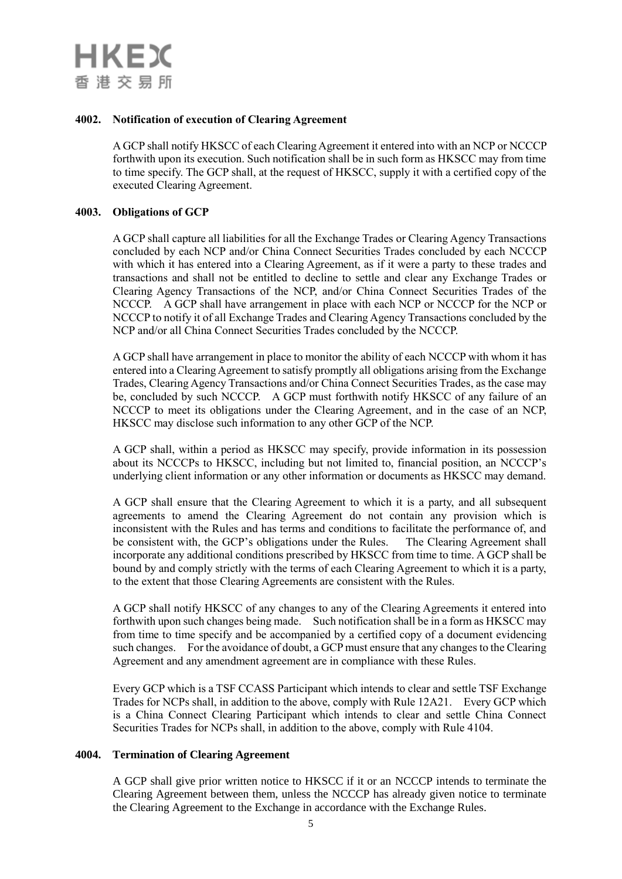#### **4002. Notification of execution of Clearing Agreement**

A GCP shall notify HKSCC of each Clearing Agreement it entered into with an NCP or NCCCP forthwith upon its execution. Such notification shall be in such form as HKSCC may from time to time specify. The GCP shall, at the request of HKSCC, supply it with a certified copy of the executed Clearing Agreement.

#### **4003. Obligations of GCP**

A GCP shall capture all liabilities for all the Exchange Trades or Clearing Agency Transactions concluded by each NCP and/or China Connect Securities Trades concluded by each NCCCP with which it has entered into a Clearing Agreement, as if it were a party to these trades and transactions and shall not be entitled to decline to settle and clear any Exchange Trades or Clearing Agency Transactions of the NCP, and/or China Connect Securities Trades of the NCCCP. A GCP shall have arrangement in place with each NCP or NCCCP for the NCP or NCCCP to notify it of all Exchange Trades and Clearing Agency Transactions concluded by the NCP and/or all China Connect Securities Trades concluded by the NCCCP.

A GCP shall have arrangement in place to monitor the ability of each NCCCP with whom it has entered into a Clearing Agreement to satisfy promptly all obligations arising from the Exchange Trades, Clearing Agency Transactions and/or China Connect Securities Trades, as the case may be, concluded by such NCCCP. A GCP must forthwith notify HKSCC of any failure of an NCCCP to meet its obligations under the Clearing Agreement, and in the case of an NCP, HKSCC may disclose such information to any other GCP of the NCP.

A GCP shall, within a period as HKSCC may specify, provide information in its possession about its NCCCPs to HKSCC, including but not limited to, financial position, an NCCCP's underlying client information or any other information or documents as HKSCC may demand.

A GCP shall ensure that the Clearing Agreement to which it is a party, and all subsequent agreements to amend the Clearing Agreement do not contain any provision which is inconsistent with the Rules and has terms and conditions to facilitate the performance of, and be consistent with, the GCP's obligations under the Rules. The Clearing Agreement shall incorporate any additional conditions prescribed by HKSCC from time to time. A GCP shall be bound by and comply strictly with the terms of each Clearing Agreement to which it is a party, to the extent that those Clearing Agreements are consistent with the Rules.

A GCP shall notify HKSCC of any changes to any of the Clearing Agreements it entered into forthwith upon such changes being made. Such notification shall be in a form as HKSCC may from time to time specify and be accompanied by a certified copy of a document evidencing such changes. For the avoidance of doubt, a GCP must ensure that any changes to the Clearing Agreement and any amendment agreement are in compliance with these Rules.

Every GCP which is a TSF CCASS Participant which intends to clear and settle TSF Exchange Trades for NCPs shall, in addition to the above, comply with Rule 12A21. Every GCP which is a China Connect Clearing Participant which intends to clear and settle China Connect Securities Trades for NCPs shall, in addition to the above, comply with Rule 4104.

#### **4004. Termination of Clearing Agreement**

A GCP shall give prior written notice to HKSCC if it or an NCCCP intends to terminate the Clearing Agreement between them, unless the NCCCP has already given notice to terminate the Clearing Agreement to the Exchange in accordance with the Exchange Rules.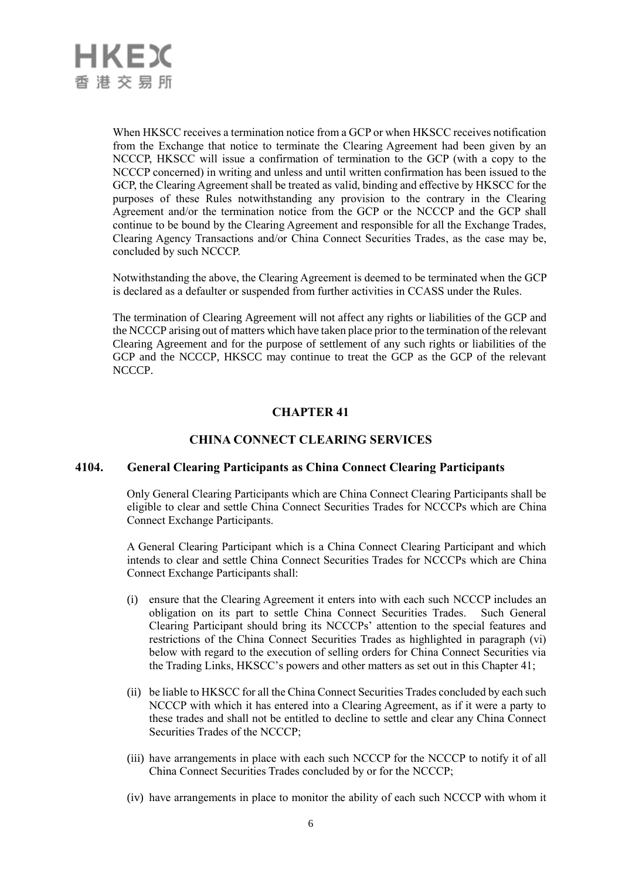

When HKSCC receives a termination notice from a GCP or when HKSCC receives notification from the Exchange that notice to terminate the Clearing Agreement had been given by an NCCCP, HKSCC will issue a confirmation of termination to the GCP (with a copy to the NCCCP concerned) in writing and unless and until written confirmation has been issued to the GCP, the Clearing Agreement shall be treated as valid, binding and effective by HKSCC for the purposes of these Rules notwithstanding any provision to the contrary in the Clearing Agreement and/or the termination notice from the GCP or the NCCCP and the GCP shall continue to be bound by the Clearing Agreement and responsible for all the Exchange Trades, Clearing Agency Transactions and/or China Connect Securities Trades, as the case may be, concluded by such NCCCP.

Notwithstanding the above, the Clearing Agreement is deemed to be terminated when the GCP is declared as a defaulter or suspended from further activities in CCASS under the Rules.

The termination of Clearing Agreement will not affect any rights or liabilities of the GCP and the NCCCP arising out of matters which have taken place prior to the termination of the relevant Clearing Agreement and for the purpose of settlement of any such rights or liabilities of the GCP and the NCCCP, HKSCC may continue to treat the GCP as the GCP of the relevant NCCCP.

# **CHAPTER 41**

# **CHINA CONNECT CLEARING SERVICES**

### **4104. General Clearing Participants as China Connect Clearing Participants**

Only General Clearing Participants which are China Connect Clearing Participants shall be eligible to clear and settle China Connect Securities Trades for NCCCPs which are China Connect Exchange Participants.

A General Clearing Participant which is a China Connect Clearing Participant and which intends to clear and settle China Connect Securities Trades for NCCCPs which are China Connect Exchange Participants shall:

- (i) ensure that the Clearing Agreement it enters into with each such NCCCP includes an obligation on its part to settle China Connect Securities Trades. Such General Clearing Participant should bring its NCCCPs' attention to the special features and restrictions of the China Connect Securities Trades as highlighted in paragraph (vi) below with regard to the execution of selling orders for China Connect Securities via the Trading Links, HKSCC's powers and other matters as set out in this Chapter 41;
- (ii) be liable to HKSCC for all the China Connect Securities Trades concluded by each such NCCCP with which it has entered into a Clearing Agreement, as if it were a party to these trades and shall not be entitled to decline to settle and clear any China Connect Securities Trades of the NCCCP;
- (iii) have arrangements in place with each such NCCCP for the NCCCP to notify it of all China Connect Securities Trades concluded by or for the NCCCP;
- (iv) have arrangements in place to monitor the ability of each such NCCCP with whom it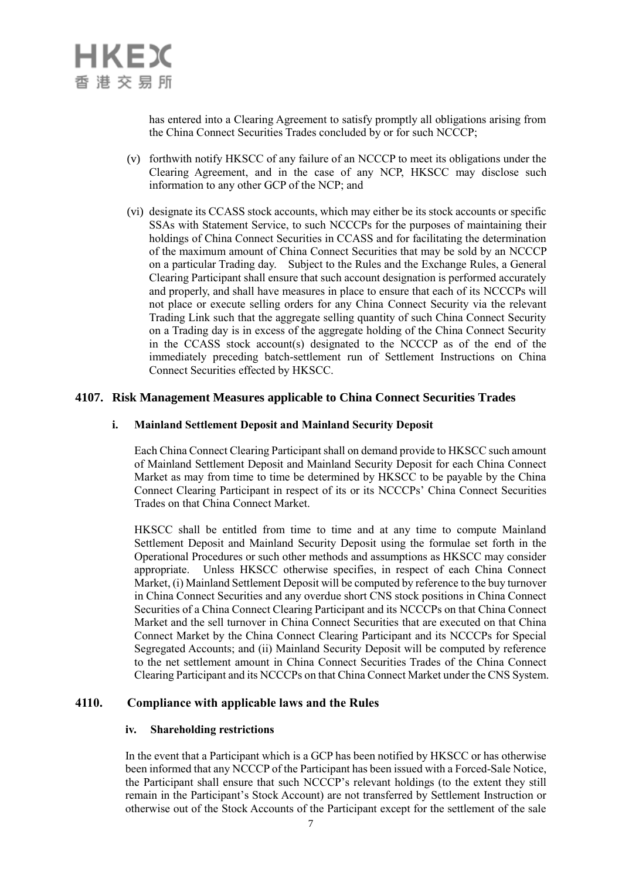has entered into a Clearing Agreement to satisfy promptly all obligations arising from the China Connect Securities Trades concluded by or for such NCCCP;

- (v) forthwith notify HKSCC of any failure of an NCCCP to meet its obligations under the Clearing Agreement, and in the case of any NCP, HKSCC may disclose such information to any other GCP of the NCP; and
- (vi) designate its CCASS stock accounts, which may either be its stock accounts or specific SSAs with Statement Service, to such NCCCPs for the purposes of maintaining their holdings of China Connect Securities in CCASS and for facilitating the determination of the maximum amount of China Connect Securities that may be sold by an NCCCP on a particular Trading day. Subject to the Rules and the Exchange Rules, a General Clearing Participant shall ensure that such account designation is performed accurately and properly, and shall have measures in place to ensure that each of its NCCCPs will not place or execute selling orders for any China Connect Security via the relevant Trading Link such that the aggregate selling quantity of such China Connect Security on a Trading day is in excess of the aggregate holding of the China Connect Security in the CCASS stock account(s) designated to the NCCCP as of the end of the immediately preceding batch-settlement run of Settlement Instructions on China Connect Securities effected by HKSCC.

# **4107. Risk Management Measures applicable to China Connect Securities Trades**

### **i. Mainland Settlement Deposit and Mainland Security Deposit**

Each China Connect Clearing Participant shall on demand provide to HKSCC such amount of Mainland Settlement Deposit and Mainland Security Deposit for each China Connect Market as may from time to time be determined by HKSCC to be payable by the China Connect Clearing Participant in respect of its or its NCCCPs' China Connect Securities Trades on that China Connect Market.

HKSCC shall be entitled from time to time and at any time to compute Mainland Settlement Deposit and Mainland Security Deposit using the formulae set forth in the Operational Procedures or such other methods and assumptions as HKSCC may consider appropriate. Unless HKSCC otherwise specifies, in respect of each China Connect Market, (i) Mainland Settlement Deposit will be computed by reference to the buy turnover in China Connect Securities and any overdue short CNS stock positions in China Connect Securities of a China Connect Clearing Participant and its NCCCPs on that China Connect Market and the sell turnover in China Connect Securities that are executed on that China Connect Market by the China Connect Clearing Participant and its NCCCPs for Special Segregated Accounts; and (ii) Mainland Security Deposit will be computed by reference to the net settlement amount in China Connect Securities Trades of the China Connect Clearing Participant and its NCCCPs on that China Connect Market under the CNS System.

### **4110. Compliance with applicable laws and the Rules**

### **iv. Shareholding restrictions**

In the event that a Participant which is a GCP has been notified by HKSCC or has otherwise been informed that any NCCCP of the Participant has been issued with a Forced-Sale Notice, the Participant shall ensure that such NCCCP's relevant holdings (to the extent they still remain in the Participant's Stock Account) are not transferred by Settlement Instruction or otherwise out of the Stock Accounts of the Participant except for the settlement of the sale